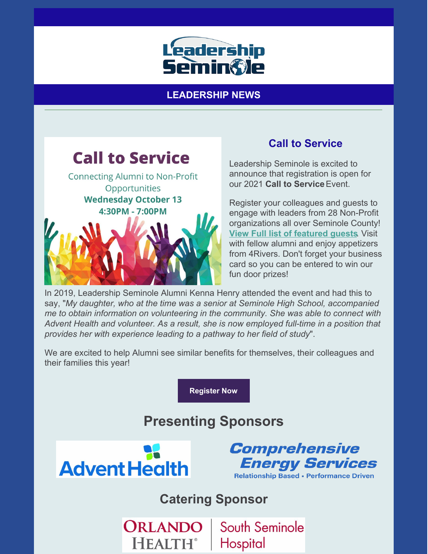

**LEADERSHIP NEWS**



## **Call to Service**

Leadership Seminole is excited to announce that registration is open for our 2021 **Call to Service**Event.

Register your colleagues and guests to engage with leaders from 28 Non-Profit organizations all over Seminole County! **View Full list of [featured](https://files.constantcontact.com/206c3f27be/7ee3424f-74cd-4c0c-a635-ecfa8005dbcf.pdf) guests**. Visit with fellow alumni and enjoy appetizers from 4Rivers. Don't forget your business card so you can be entered to win our fun door prizes!

In 2019, Leadership Seminole Alumni Kenna Henry attended the event and had this to say, "*My daughter, who at the time was a senior at Seminole High School, accompanied me to obtain information on volunteering in the community. She was able to connect with Advent Health and volunteer. As a result, she is now employed full-time in a position that provides her with experience leading to a pathway to her field of study*".

We are excited to help Alumni see similar benefits for themselves, their colleagues and their families this year!

**[Register](https://leadershipseminole.org/event/call-to-service/) Now**

# **Presenting Sponsors**



**HEALTH**®



**Catering Sponsor**

South Seminole ORLANDO Hospital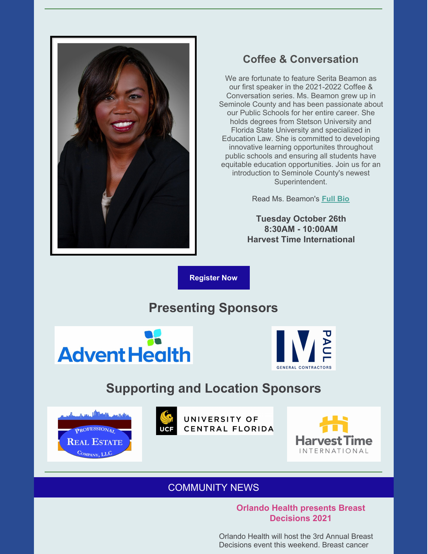

## **Coffee & Conversation**

We are fortunate to feature Serita Beamon as our first speaker in the 2021-2022 Coffee & Conversation series. Ms. Beamon grew up in Seminole County and has been passionate about our Public Schools for her entire career. She holds degrees from Stetson University and Florida State University and specialized in Education Law. She is committed to developing innovative learning opportunites throughout public schools and ensuring all students have equitable education opportunities. Join us for an introduction to Seminole County's newest Superintendent.

Read Ms. Beamon's **[Full](https://files.constantcontact.com/206c3f27be/7f0cc68b-44ee-4c3a-8a24-2a2d502ad38a.pdf) Bio**

**Tuesday October 26th 8:30AM - 10:00AM Harvest Time International**

**[Register](https://leadershipseminole.org/event/coffee-conversation/) Now**

## **Presenting Sponsors**





## **Supporting and Location Sponsors**





UNIVERSITY OF CENTRAL FLORIDA



#### COMMUNITY NEWS

#### **Orlando Health presents Breast Decisions 2021**

Orlando Health will host the 3rd Annual Breast Decisions event this weekend. Breast cancer